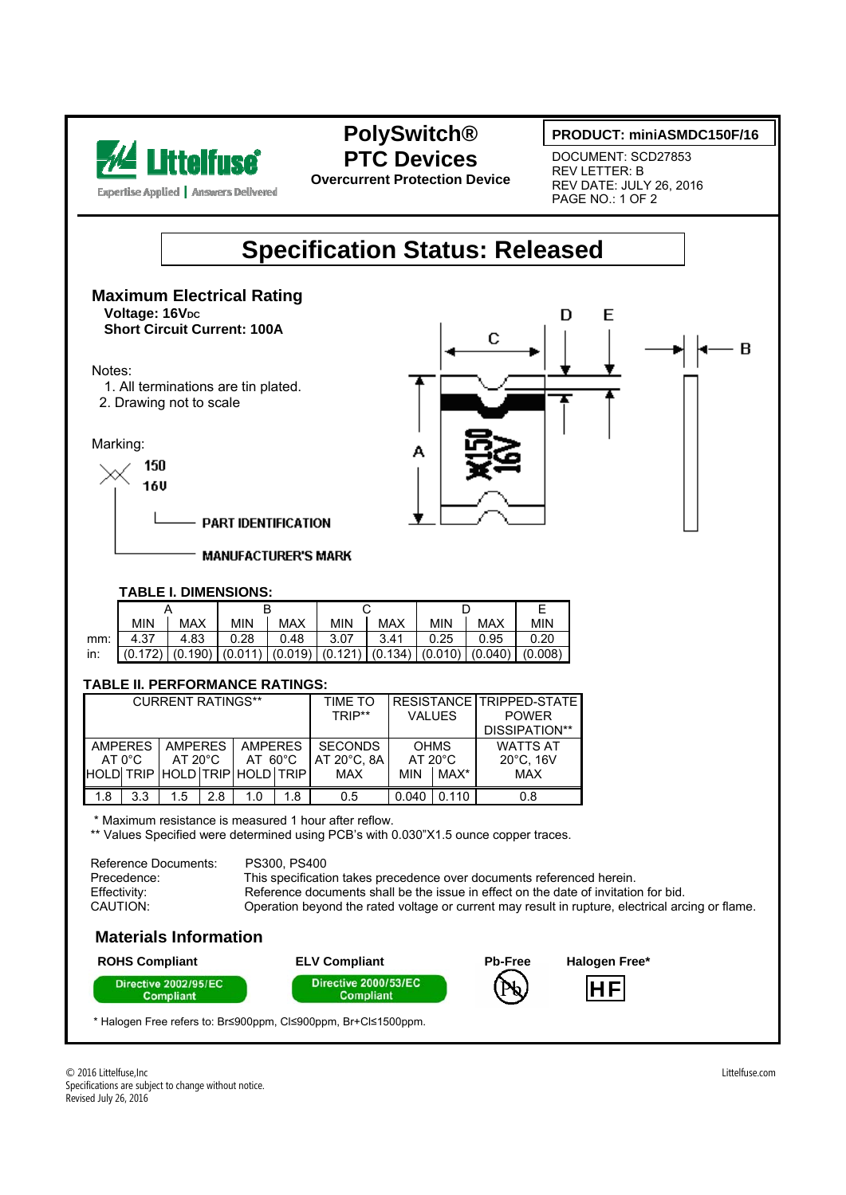

## **PolySwitch® PTC Devices**

**Overcurrent Protection Device** 

#### **PRODUCT: miniASMDC150F/16**

DOCUMENT: SCD27853 REV LETTER: B REV DATE: JULY 26, 2016 PAGE NO.: 1 OF 2

# **Specification Status: Released**

#### **Maximum Electrical Rating Voltage: 16V<sub>DC</sub>** D E  **Short Circuit Current: 100A**  С - B Notes: 1. All terminations are tin plated. 2. Drawing not to scale Marking: A 150 **16U PART IDENTIFICATION MANUFACTURER'S MARK TABLE I. DIMENSIONS:** A B C D E MIN | MAX | MIN | MAX | MIN | MAX | MIN | MAX | MIN mm: 4.37 4.83 0.28 0.48 3.07 3.41 0.25 0.95 0.20 in: (0.172) (0.190) (0.011) (0.019) (0.121) (0.134) (0.010) (0.040) (0.008)  **TABLE II. PERFORMANCE RATINGS:**  CURRENT RATINGS\*\* | TIME TO **RESISTANCE** TRIPPED-STATE TRIP\*\* VALUES POWER DISSIPATION\*\* AMPERES AMPERES AMPERES **SECONDS OHMS** WATTS AT AT 0°C<br>HOLD| TRIP AT 20°C AT 60°C AT 20°C, 8A AT 20°C 20°C, 16V HOLD TRIP HOLD TRIP MAX MIN MAX\* MAX 1.8 | 3.3 | 1.5 | 2.8 | 1.0 | 1.8 | 0.5 | 0.040 | 0.110 | 0.8 \* Maximum resistance is measured 1 hour after reflow. \*\* Values Specified were determined using PCB's with 0.030"X1.5 ounce copper traces.

| Reference Documents: | PS300, PS400                                                                                     |
|----------------------|--------------------------------------------------------------------------------------------------|
| Precedence:          | This specification takes precedence over documents referenced herein.                            |
| Effectivity:         | Reference documents shall be the issue in effect on the date of invitation for bid.              |
| CAUTION:             | Operation beyond the rated voltage or current may result in rupture, electrical arcing or flame. |

### **Materials Information**



\* Halogen Free refers to: Br≤900ppm, Cl≤900ppm, Br+Cl≤1500ppm.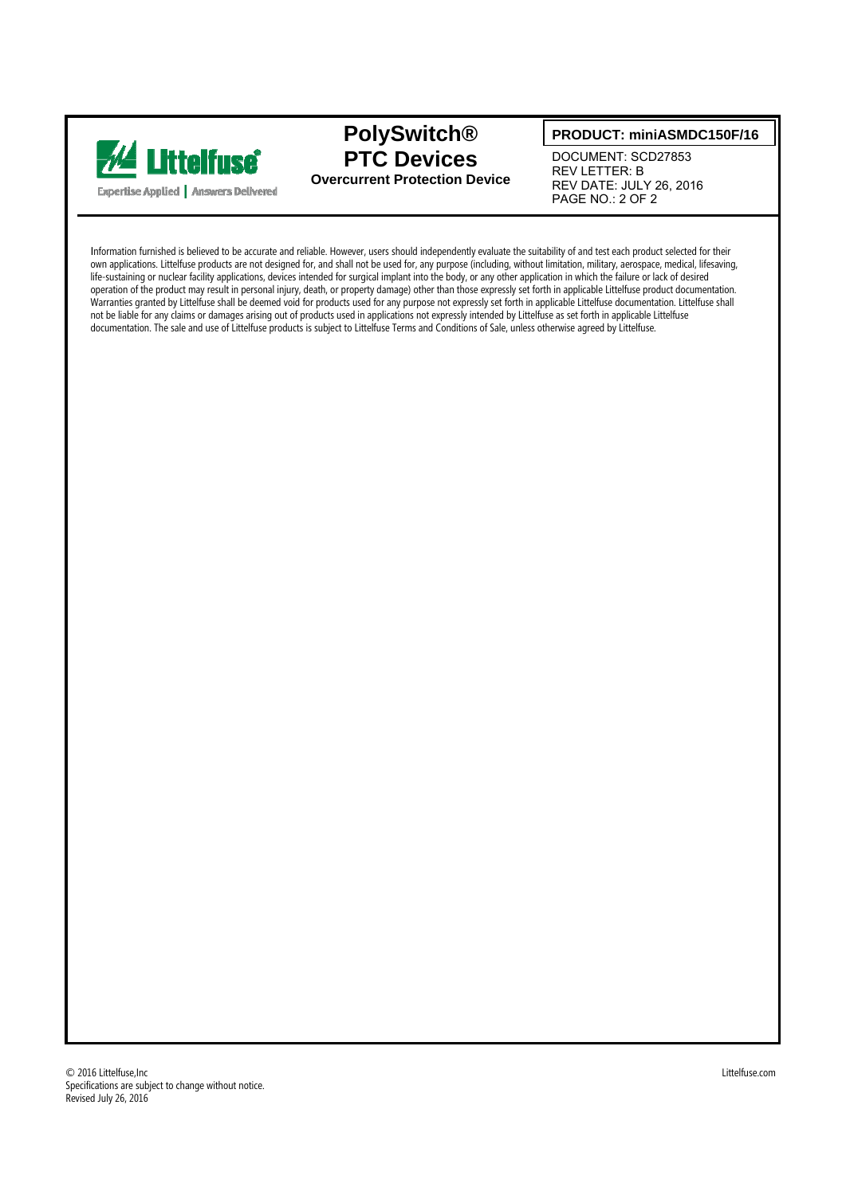

### **PolySwitch® PTC Devices Overcurrent Protection Device**

#### **PRODUCT: miniASMDC150F/16**

DOCUMENT: SCD27853 REV LETTER: B REV DATE: JULY 26, 2016 PAGE NO.: 2 OF 2

Information furnished is believed to be accurate and reliable. However, users should independently evaluate the suitability of and test each product selected for their own applications. Littelfuse products are not designed for, and shall not be used for, any purpose (including, without limitation, military, aerospace, medical, lifesaving, life-sustaining or nuclear facility applications, devices intended for surgical implant into the body, or any other application in which the failure or lack of desired operation of the product may result in personal injury, death, or property damage) other than those expressly set forth in applicable Littelfuse product documentation. Warranties granted by Littelfuse shall be deemed void for products used for any purpose not expressly set forth in applicable Littelfuse documentation. Littelfuse shall not be liable for any claims or damages arising out of products used in applications not expressly intended by Littelfuse as set forth in applicable Littelfuse documentation. The sale and use of Littelfuse products is subject to Littelfuse Terms and Conditions of Sale, unless otherwise agreed by Littelfuse.